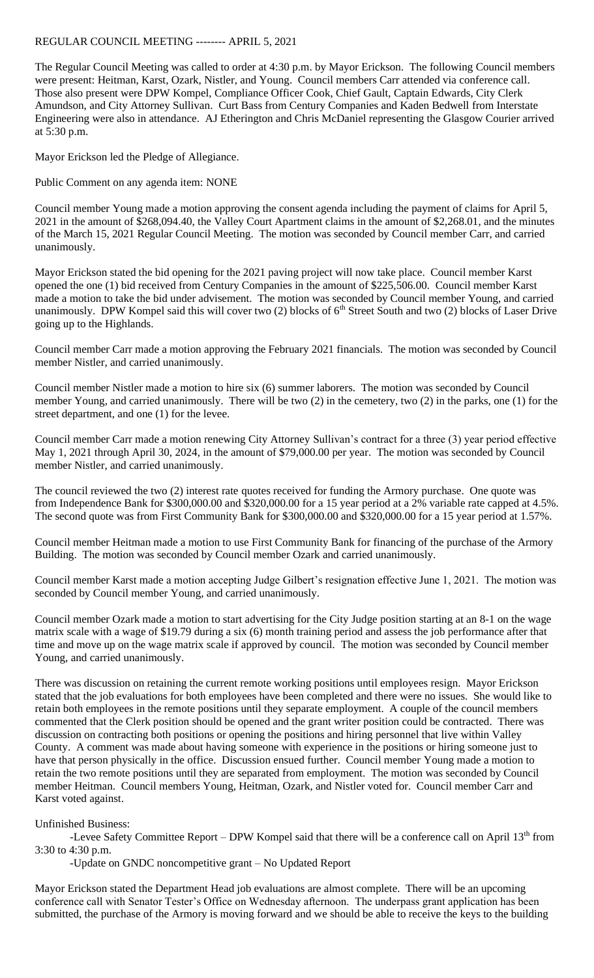## REGULAR COUNCIL MEETING -------- APRIL 5, 2021

The Regular Council Meeting was called to order at 4:30 p.m. by Mayor Erickson. The following Council members were present: Heitman, Karst, Ozark, Nistler, and Young. Council members Carr attended via conference call. Those also present were DPW Kompel, Compliance Officer Cook, Chief Gault, Captain Edwards, City Clerk Amundson, and City Attorney Sullivan. Curt Bass from Century Companies and Kaden Bedwell from Interstate Engineering were also in attendance. AJ Etherington and Chris McDaniel representing the Glasgow Courier arrived at 5:30 p.m.

Mayor Erickson led the Pledge of Allegiance.

Public Comment on any agenda item: NONE

Council member Young made a motion approving the consent agenda including the payment of claims for April 5, 2021 in the amount of \$268,094.40, the Valley Court Apartment claims in the amount of \$2,268.01, and the minutes of the March 15, 2021 Regular Council Meeting. The motion was seconded by Council member Carr, and carried unanimously.

Mayor Erickson stated the bid opening for the 2021 paving project will now take place. Council member Karst opened the one (1) bid received from Century Companies in the amount of \$225,506.00. Council member Karst made a motion to take the bid under advisement. The motion was seconded by Council member Young, and carried unanimously. DPW Kompel said this will cover two  $(2)$  blocks of 6<sup>th</sup> Street South and two  $(2)$  blocks of Laser Drive going up to the Highlands.

Council member Carr made a motion approving the February 2021 financials. The motion was seconded by Council member Nistler, and carried unanimously.

Council member Nistler made a motion to hire six (6) summer laborers. The motion was seconded by Council member Young, and carried unanimously. There will be two (2) in the cemetery, two (2) in the parks, one (1) for the street department, and one (1) for the levee.

Council member Carr made a motion renewing City Attorney Sullivan's contract for a three (3) year period effective May 1, 2021 through April 30, 2024, in the amount of \$79,000.00 per year. The motion was seconded by Council member Nistler, and carried unanimously.

The council reviewed the two (2) interest rate quotes received for funding the Armory purchase. One quote was from Independence Bank for \$300,000.00 and \$320,000.00 for a 15 year period at a 2% variable rate capped at 4.5%. The second quote was from First Community Bank for \$300,000.00 and \$320,000.00 for a 15 year period at 1.57%.

Council member Heitman made a motion to use First Community Bank for financing of the purchase of the Armory Building. The motion was seconded by Council member Ozark and carried unanimously.

Council member Karst made a motion accepting Judge Gilbert's resignation effective June 1, 2021. The motion was seconded by Council member Young, and carried unanimously.

Council member Ozark made a motion to start advertising for the City Judge position starting at an 8-1 on the wage matrix scale with a wage of \$19.79 during a six (6) month training period and assess the job performance after that time and move up on the wage matrix scale if approved by council. The motion was seconded by Council member Young, and carried unanimously.

There was discussion on retaining the current remote working positions until employees resign. Mayor Erickson stated that the job evaluations for both employees have been completed and there were no issues. She would like to retain both employees in the remote positions until they separate employment. A couple of the council members commented that the Clerk position should be opened and the grant writer position could be contracted. There was discussion on contracting both positions or opening the positions and hiring personnel that live within Valley County. A comment was made about having someone with experience in the positions or hiring someone just to have that person physically in the office. Discussion ensued further. Council member Young made a motion to retain the two remote positions until they are separated from employment. The motion was seconded by Council member Heitman. Council members Young, Heitman, Ozark, and Nistler voted for. Council member Carr and Karst voted against.

Unfinished Business:

-Levee Safety Committee Report – DPW Kompel said that there will be a conference call on April 13<sup>th</sup> from 3:30 to 4:30 p.m.

-Update on GNDC noncompetitive grant – No Updated Report

Mayor Erickson stated the Department Head job evaluations are almost complete. There will be an upcoming conference call with Senator Tester's Office on Wednesday afternoon. The underpass grant application has been submitted, the purchase of the Armory is moving forward and we should be able to receive the keys to the building